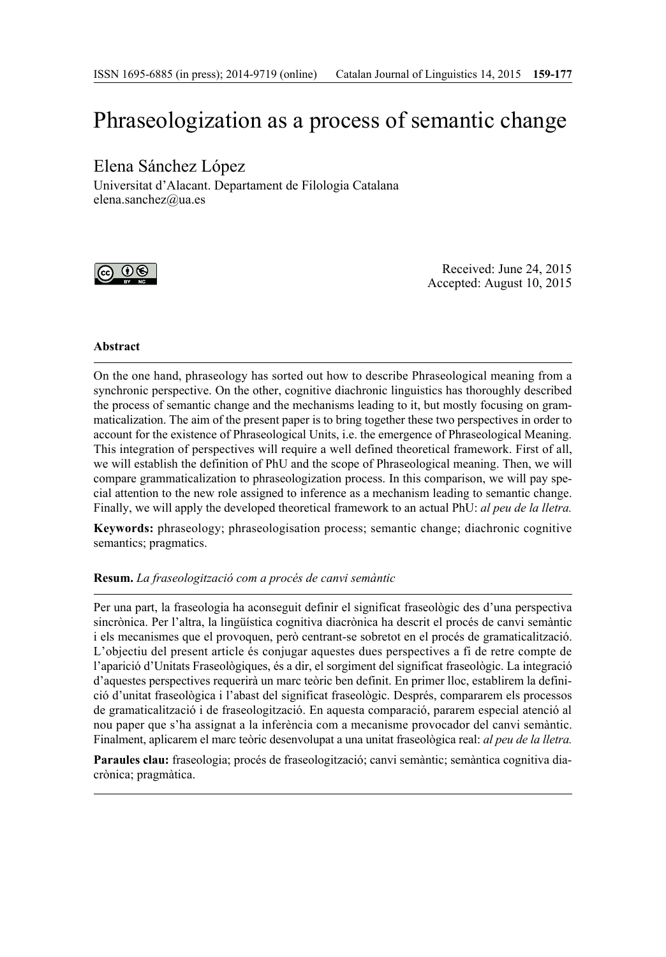# Phraseologization as a process of semantic change

## Elena Sánchez López

Universitat d'Alacant. Departament de Filologia Catalana elena.sanchez@ua.es



Received: June 24, 2015 Accepted: August 10, 2015

#### **Abstract**

On the one hand, phraseology has sorted out how to describe Phraseological meaning from a synchronic perspective. On the other, cognitive diachronic linguistics has thoroughly described the process of semantic change and the mechanisms leading to it, but mostly focusing on grammaticalization. The aim of the present paper is to bring together these two perspectives in order to account for the existence of Phraseological Units, i.e. the emergence of Phraseological Meaning. This integration of perspectives will require a well defined theoretical framework. First of all, we will establish the definition of PhU and the scope of Phraseological meaning. Then, we will compare grammaticalization to phraseologization process. In this comparison, we will pay special attention to the new role assigned to inference as a mechanism leading to semantic change. Finally, we will apply the developed theoretical framework to an actual PhU: *al peu de la lletra.*

**Keywords:** phraseology; phraseologisation process; semantic change; diachronic cognitive semantics; pragmatics.

#### **Resum.** *La fraseologització com a procés de canvi semàntic*

Per una part, la fraseologia ha aconseguit definir el significat fraseològic des d'una perspectiva sincrònica. Per l'altra, la lingüística cognitiva diacrònica ha descrit el procés de canvi semàntic i els mecanismes que el provoquen, però centrant-se sobretot en el procés de gramaticalització. L'objectiu del present article és conjugar aquestes dues perspectives a fi de retre compte de l'aparició d'Unitats Fraseològiques, és a dir, el sorgiment del significat fraseològic. La integració d'aquestes perspectives requerirà un marc teòric ben definit. En primer lloc, establirem la definició d'unitat fraseològica i l'abast del significat fraseològic. Després, compararem els processos de gramaticalització i de fraseologització. En aquesta comparació, pararem especial atenció al nou paper que s'ha assignat a la inferència com a mecanisme provocador del canvi semàntic. Finalment, aplicarem el marc teòric desenvolupat a una unitat fraseològica real: *al peu de la lletra.*

Paraules clau: fraseologia; procés de fraseologització; canvi semàntic; semàntica cognitiva diacrònica; pragmàtica.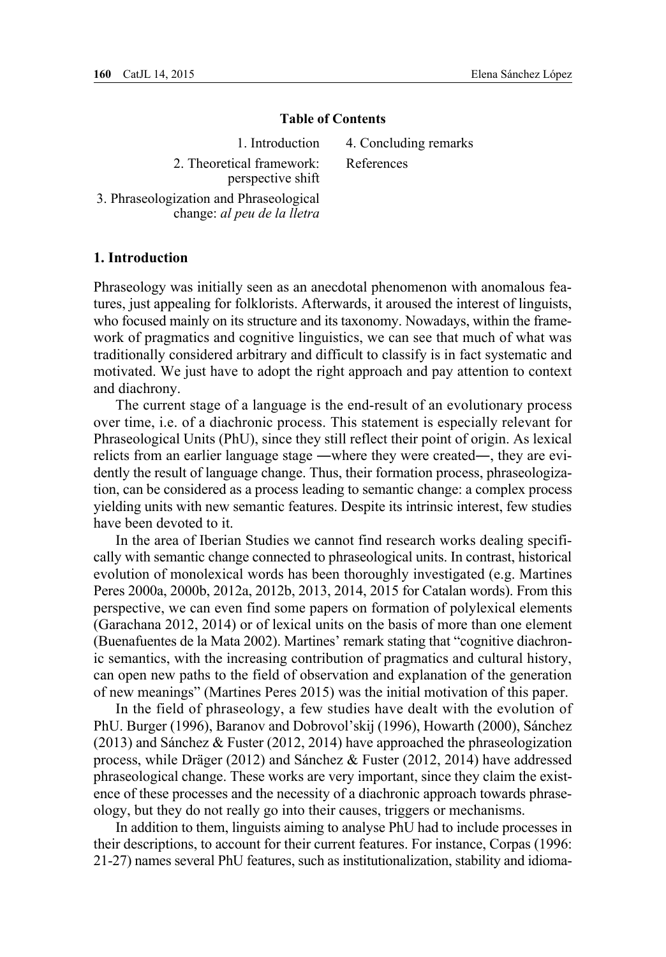#### **Table of Contents**

1. Introduction

2. Theoretical framework: perspective shift 4. Concluding remarks

References

3. Phraseologization and Phraseological change: *al peu de la lletra*

## **1. Introduction**

Phraseology was initially seen as an anecdotal phenomenon with anomalous features, just appealing for folklorists. Afterwards, it aroused the interest of linguists, who focused mainly on its structure and its taxonomy. Nowadays, within the framework of pragmatics and cognitive linguistics, we can see that much of what was traditionally considered arbitrary and difficult to classify is in fact systematic and motivated. We just have to adopt the right approach and pay attention to context and diachrony.

The current stage of a language is the end-result of an evolutionary process over time, i.e. of a diachronic process. This statement is especially relevant for Phraseological Units (PhU), since they still reflect their point of origin. As lexical relicts from an earlier language stage ―where they were created―, they are evidently the result of language change. Thus, their formation process, phraseologization, can be considered as a process leading to semantic change: a complex process yielding units with new semantic features. Despite its intrinsic interest, few studies have been devoted to it.

In the area of Iberian Studies we cannot find research works dealing specifically with semantic change connected to phraseological units. In contrast, historical evolution of monolexical words has been thoroughly investigated (e.g. Martines Peres 2000a, 2000b, 2012a, 2012b, 2013, 2014, 2015 for Catalan words). From this perspective, we can even find some papers on formation of polylexical elements (Garachana 2012, 2014) or of lexical units on the basis of more than one element (Buenafuentes de la Mata 2002). Martines' remark stating that "cognitive diachronic semantics, with the increasing contribution of pragmatics and cultural history, can open new paths to the field of observation and explanation of the generation of new meanings" (Martines Peres 2015) was the initial motivation of this paper.

In the field of phraseology, a few studies have dealt with the evolution of PhU. Burger (1996), Baranov and Dobrovol'skij (1996), Howarth (2000), Sánchez (2013) and Sánchez & Fuster (2012, 2014) have approached the phraseologization process, while Dräger (2012) and Sánchez & Fuster (2012, 2014) have addressed phraseological change. These works are very important, since they claim the existence of these processes and the necessity of a diachronic approach towards phraseology, but they do not really go into their causes, triggers or mechanisms.

In addition to them, linguists aiming to analyse PhU had to include processes in their descriptions, to account for their current features. For instance, Corpas (1996: 21-27) names several PhU features, such as institutionalization, stability and idioma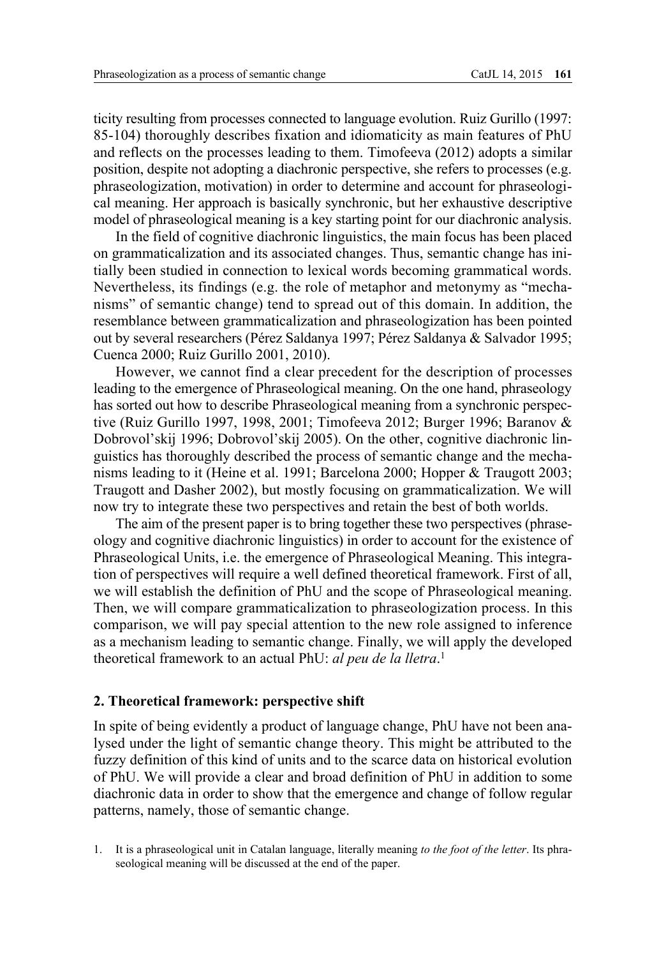ticity resulting from processes connected to language evolution. Ruiz Gurillo (1997: 85-104) thoroughly describes fixation and idiomaticity as main features of PhU and reflects on the processes leading to them. Timofeeva (2012) adopts a similar position, despite not adopting a diachronic perspective, she refers to processes (e.g. phraseologization, motivation) in order to determine and account for phraseological meaning. Her approach is basically synchronic, but her exhaustive descriptive model of phraseological meaning is a key starting point for our diachronic analysis.

In the field of cognitive diachronic linguistics, the main focus has been placed on grammaticalization and its associated changes. Thus, semantic change has initially been studied in connection to lexical words becoming grammatical words. Nevertheless, its findings (e.g. the role of metaphor and metonymy as "mechanisms" of semantic change) tend to spread out of this domain. In addition, the resemblance between grammaticalization and phraseologization has been pointed out by several researchers (Pérez Saldanya 1997; Pérez Saldanya & Salvador 1995; Cuenca 2000; Ruiz Gurillo 2001, 2010).

However, we cannot find a clear precedent for the description of processes leading to the emergence of Phraseological meaning. On the one hand, phraseology has sorted out how to describe Phraseological meaning from a synchronic perspective (Ruiz Gurillo 1997, 1998, 2001; Timofeeva 2012; Burger 1996; Baranov & Dobrovol'skij 1996; Dobrovol'skij 2005). On the other, cognitive diachronic linguistics has thoroughly described the process of semantic change and the mechanisms leading to it (Heine et al. 1991; Barcelona 2000; Hopper & Traugott 2003; Traugott and Dasher 2002), but mostly focusing on grammaticalization. We will now try to integrate these two perspectives and retain the best of both worlds.

The aim of the present paper is to bring together these two perspectives (phraseology and cognitive diachronic linguistics) in order to account for the existence of Phraseological Units, i.e. the emergence of Phraseological Meaning. This integration of perspectives will require a well defined theoretical framework. First of all, we will establish the definition of PhU and the scope of Phraseological meaning. Then, we will compare grammaticalization to phraseologization process. In this comparison, we will pay special attention to the new role assigned to inference as a mechanism leading to semantic change. Finally, we will apply the developed theoretical framework to an actual PhU: *al peu de la lletra*. 1

#### **2. Theoretical framework: perspective shift**

In spite of being evidently a product of language change, PhU have not been analysed under the light of semantic change theory. This might be attributed to the fuzzy definition of this kind of units and to the scarce data on historical evolution of PhU. We will provide a clear and broad definition of PhU in addition to some diachronic data in order to show that the emergence and change of follow regular patterns, namely, those of semantic change.

<sup>1.</sup> It is a phraseological unit in Catalan language, literally meaning *to the foot of the letter*. Its phraseological meaning will be discussed at the end of the paper.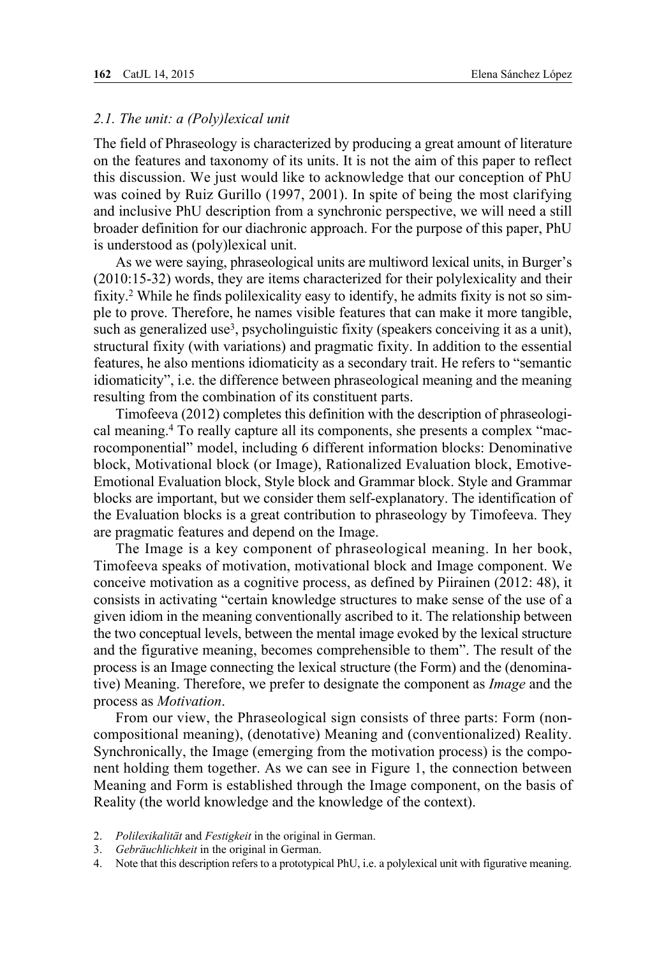## *2.1. The unit: a (Poly)lexical unit*

The field of Phraseology is characterized by producing a great amount of literature on the features and taxonomy of its units. It is not the aim of this paper to reflect this discussion. We just would like to acknowledge that our conception of PhU was coined by Ruiz Gurillo (1997, 2001). In spite of being the most clarifying and inclusive PhU description from a synchronic perspective, we will need a still broader definition for our diachronic approach. For the purpose of this paper, PhU is understood as (poly)lexical unit.

As we were saying, phraseological units are multiword lexical units, in Burger's (2010:15-32) words, they are items characterized for their polylexicality and their fixity.2 While he finds polilexicality easy to identify, he admits fixity is not so simple to prove. Therefore, he names visible features that can make it more tangible, such as generalized use<sup>3</sup>, psycholinguistic fixity (speakers conceiving it as a unit), structural fixity (with variations) and pragmatic fixity. In addition to the essential features, he also mentions idiomaticity as a secondary trait. He refers to "semantic idiomaticity", i.e. the difference between phraseological meaning and the meaning resulting from the combination of its constituent parts.

Timofeeva (2012) completes this definition with the description of phraseological meaning.4 To really capture all its components, she presents a complex "macrocomponential" model, including 6 different information blocks: Denominative block, Motivational block (or Image), Rationalized Evaluation block, Emotive-Emotional Evaluation block, Style block and Grammar block. Style and Grammar blocks are important, but we consider them self-explanatory. The identification of the Evaluation blocks is a great contribution to phraseology by Timofeeva. They are pragmatic features and depend on the Image.

The Image is a key component of phraseological meaning. In her book, Timofeeva speaks of motivation, motivational block and Image component. We conceive motivation as a cognitive process, as defined by Piirainen (2012: 48), it consists in activating "certain knowledge structures to make sense of the use of a given idiom in the meaning conventionally ascribed to it. The relationship between the two conceptual levels, between the mental image evoked by the lexical structure and the figurative meaning, becomes comprehensible to them". The result of the process is an Image connecting the lexical structure (the Form) and the (denominative) Meaning. Therefore, we prefer to designate the component as *Image* and the process as *Motivation*.

From our view, the Phraseological sign consists of three parts: Form (noncompositional meaning), (denotative) Meaning and (conventionalized) Reality. Synchronically, the Image (emerging from the motivation process) is the component holding them together. As we can see in Figure 1, the connection between Meaning and Form is established through the Image component, on the basis of Reality (the world knowledge and the knowledge of the context).

- 2. *Polilexikalität* and *Festigkeit* in the original in German.
- 3. *Gebräuchlichkeit* in the original in German.
- 4. Note that this description refers to a prototypical PhU, i.e. a polylexical unit with figurative meaning.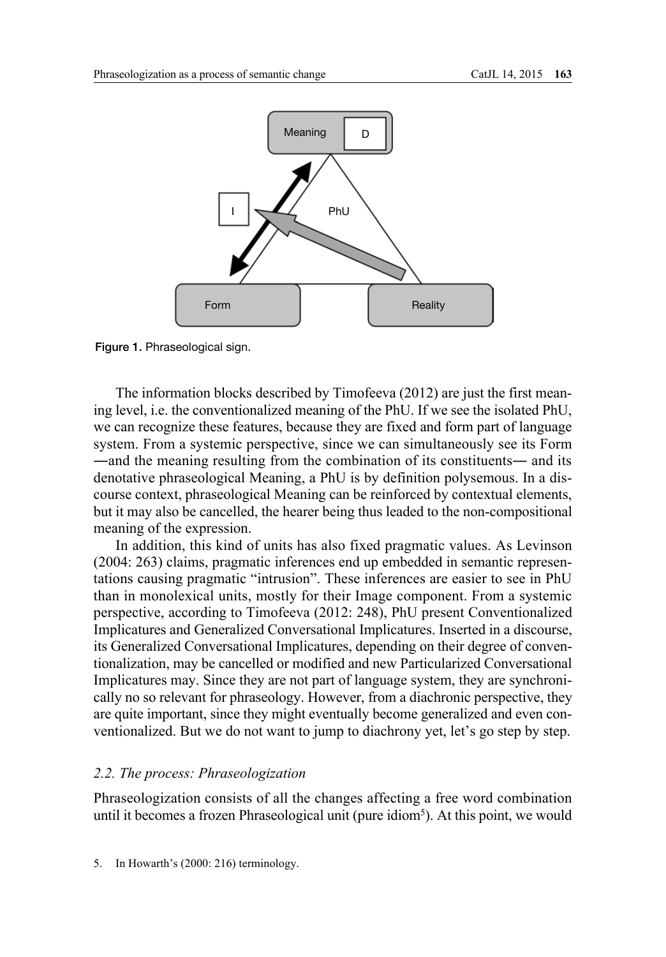

Figure 1. Phraseological sign.

The information blocks described by Timofeeva (2012) are just the first meaning level, i.e. the conventionalized meaning of the PhU. If we see the isolated PhU, we can recognize these features, because they are fixed and form part of language system. From a systemic perspective, since we can simultaneously see its Form ―and the meaning resulting from the combination of its constituents― and its denotative phraseological Meaning, a PhU is by definition polysemous. In a discourse context, phraseological Meaning can be reinforced by contextual elements, but it may also be cancelled, the hearer being thus leaded to the non-compositional meaning of the expression.

In addition, this kind of units has also fixed pragmatic values. As Levinson (2004: 263) claims, pragmatic inferences end up embedded in semantic representations causing pragmatic "intrusion". These inferences are easier to see in PhU than in monolexical units, mostly for their Image component. From a systemic perspective, according to Timofeeva (2012: 248), PhU present Conventionalized Implicatures and Generalized Conversational Implicatures. Inserted in a discourse, its Generalized Conversational Implicatures, depending on their degree of conventionalization, may be cancelled or modified and new Particularized Conversational Implicatures may. Since they are not part of language system, they are synchronically no so relevant for phraseology. However, from a diachronic perspective, they are quite important, since they might eventually become generalized and even conventionalized. But we do not want to jump to diachrony yet, let's go step by step.

## *2.2. The process: Phraseologization*

Phraseologization consists of all the changes affecting a free word combination until it becomes a frozen Phraseological unit (pure idiom<sup>5</sup>). At this point, we would

<sup>5.</sup> In Howarth's (2000: 216) terminology.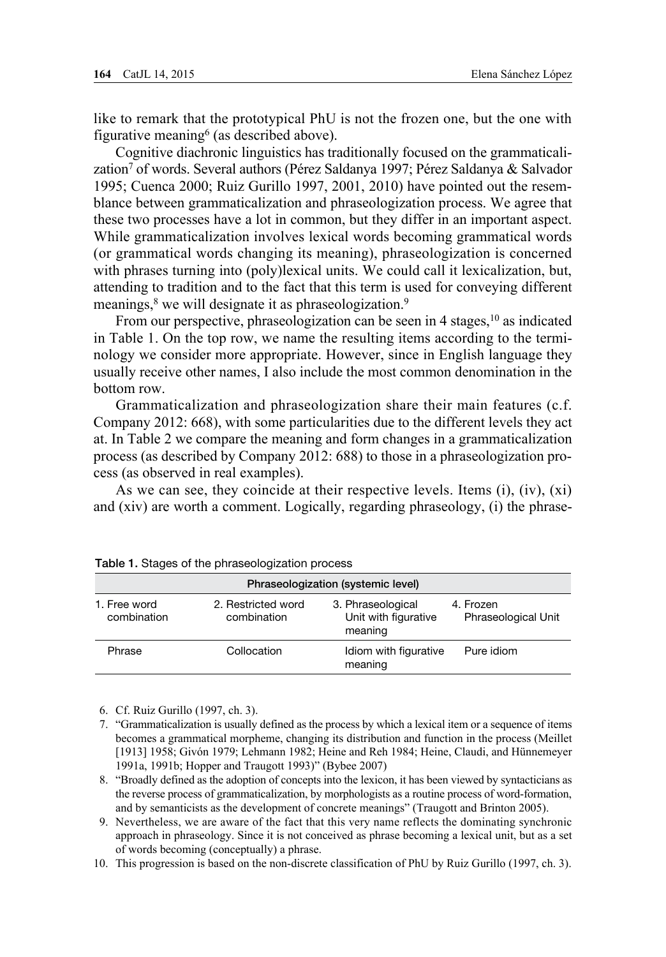like to remark that the prototypical PhU is not the frozen one, but the one with figurative meaning6 (as described above).

Cognitive diachronic linguistics has traditionally focused on the grammaticalization<sup>7</sup> of words. Several authors (Pérez Saldanya 1997; Pérez Saldanya & Salvador 1995; Cuenca 2000; Ruiz Gurillo 1997, 2001, 2010) have pointed out the resemblance between grammaticalization and phraseologization process. We agree that these two processes have a lot in common, but they differ in an important aspect. While grammaticalization involves lexical words becoming grammatical words (or grammatical words changing its meaning), phraseologization is concerned with phrases turning into (poly)lexical units. We could call it lexicalization, but, attending to tradition and to the fact that this term is used for conveying different meanings,<sup>8</sup> we will designate it as phraseologization.<sup>9</sup>

From our perspective, phraseologization can be seen in 4 stages, <sup>10</sup> as indicated in Table 1. On the top row, we name the resulting items according to the terminology we consider more appropriate. However, since in English language they usually receive other names, I also include the most common denomination in the bottom row.

Grammaticalization and phraseologization share their main features (c.f. Company 2012: 668), with some particularities due to the different levels they act at. In Table 2 we compare the meaning and form changes in a grammaticalization process (as described by Company 2012: 688) to those in a phraseologization process (as observed in real examples).

As we can see, they coincide at their respective levels. Items (i), (iv), (xi) and (xiv) are worth a comment. Logically, regarding phraseology, (i) the phrase-

| Phraseologization (systemic level)                               |             |                                                      |                                         |  |
|------------------------------------------------------------------|-------------|------------------------------------------------------|-----------------------------------------|--|
| 2. Restricted word<br>1. Free word<br>combination<br>combination |             | 3. Phraseological<br>Unit with figurative<br>meaning | 4. Frozen<br><b>Phraseological Unit</b> |  |
| Phrase                                                           | Collocation | Idiom with figurative<br>meaning                     | Pure idiom                              |  |

|  |  |  |  | Table 1. Stages of the phraseologization process |  |
|--|--|--|--|--------------------------------------------------|--|
|--|--|--|--|--------------------------------------------------|--|

6. Cf. Ruiz Gurillo (1997, ch. 3).

7. "Grammaticalization is usually defined as the process by which a lexical item or a sequence of items becomes a grammatical morpheme, changing its distribution and function in the process (Meillet [1913] 1958; Givón 1979; Lehmann 1982; Heine and Reh 1984; Heine, Claudi, and Hünnemeyer 1991a, 1991b; Hopper and Traugott 1993)" (Bybee 2007)

8. "Broadly defined as the adoption of concepts into the lexicon, it has been viewed by syntacticians as the reverse process of grammaticalization, by morphologists as a routine process of word-formation, and by semanticists as the development of concrete meanings" (Traugott and Brinton 2005).

9. Nevertheless, we are aware of the fact that this very name reflects the dominating synchronic approach in phraseology. Since it is not conceived as phrase becoming a lexical unit, but as a set of words becoming (conceptually) a phrase.

10. This progression is based on the non-discrete classification of PhU by Ruiz Gurillo (1997, ch. 3).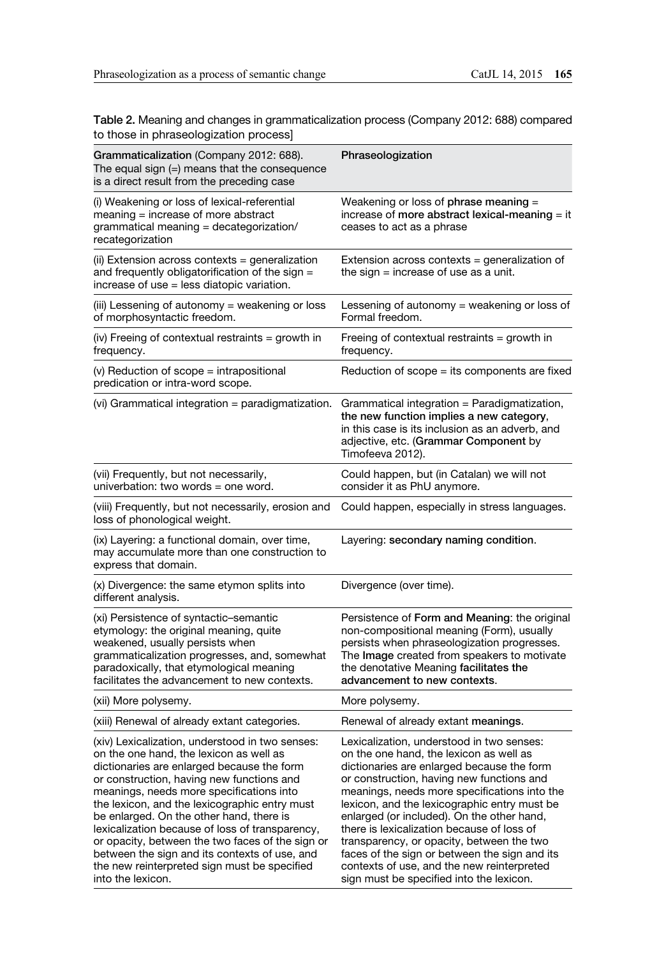Table 2. Meaning and changes in grammaticalization process (Company 2012: 688) compared to those in phraseologization process]

| Grammaticalization (Company 2012: 688).<br>The equal sign (=) means that the consequence<br>is a direct result from the preceding case                                                                                                                                                                                                                                                                                                                                                                                                                      | Phraseologization                                                                                                                                                                                                                                                                                                                                                                                                                                                                                                                                                   |
|-------------------------------------------------------------------------------------------------------------------------------------------------------------------------------------------------------------------------------------------------------------------------------------------------------------------------------------------------------------------------------------------------------------------------------------------------------------------------------------------------------------------------------------------------------------|---------------------------------------------------------------------------------------------------------------------------------------------------------------------------------------------------------------------------------------------------------------------------------------------------------------------------------------------------------------------------------------------------------------------------------------------------------------------------------------------------------------------------------------------------------------------|
| (i) Weakening or loss of lexical-referential<br>$meaning = increase of more abstract$<br>grammatical meaning = decategorization/<br>recategorization                                                                                                                                                                                                                                                                                                                                                                                                        | Weakening or loss of phrase meaning =<br>increase of more abstract lexical-meaning $=$ it<br>ceases to act as a phrase                                                                                                                                                                                                                                                                                                                                                                                                                                              |
| (ii) Extension across contexts = generalization<br>and frequently obligatorification of the sign =<br>increase of use = less diatopic variation.                                                                                                                                                                                                                                                                                                                                                                                                            | Extension across contexts = generalization of<br>the sign $=$ increase of use as a unit.                                                                                                                                                                                                                                                                                                                                                                                                                                                                            |
| (iii) Lessening of autonomy = weakening or loss<br>of morphosyntactic freedom.                                                                                                                                                                                                                                                                                                                                                                                                                                                                              | Lessening of autonomy = weakening or loss of<br>Formal freedom.                                                                                                                                                                                                                                                                                                                                                                                                                                                                                                     |
| (iv) Freeing of contextual restraints = growth in<br>frequency.                                                                                                                                                                                                                                                                                                                                                                                                                                                                                             | Freeing of contextual restraints = growth in<br>frequency.                                                                                                                                                                                                                                                                                                                                                                                                                                                                                                          |
| (v) Reduction of scope = intrapositional<br>predication or intra-word scope.                                                                                                                                                                                                                                                                                                                                                                                                                                                                                | Reduction of $scope = its components$ are fixed                                                                                                                                                                                                                                                                                                                                                                                                                                                                                                                     |
| (vi) Grammatical integration = paradigmatization.                                                                                                                                                                                                                                                                                                                                                                                                                                                                                                           | Grammatical integration = Paradigmatization,<br>the new function implies a new category,<br>in this case is its inclusion as an adverb, and<br>adjective, etc. (Grammar Component by<br>Timofeeva 2012).                                                                                                                                                                                                                                                                                                                                                            |
| (vii) Frequently, but not necessarily,<br>univerbation: two words = one word.                                                                                                                                                                                                                                                                                                                                                                                                                                                                               | Could happen, but (in Catalan) we will not<br>consider it as PhU anymore.                                                                                                                                                                                                                                                                                                                                                                                                                                                                                           |
| (viii) Frequently, but not necessarily, erosion and<br>loss of phonological weight.                                                                                                                                                                                                                                                                                                                                                                                                                                                                         | Could happen, especially in stress languages.                                                                                                                                                                                                                                                                                                                                                                                                                                                                                                                       |
| (ix) Layering: a functional domain, over time,<br>may accumulate more than one construction to<br>express that domain.                                                                                                                                                                                                                                                                                                                                                                                                                                      | Layering: secondary naming condition.                                                                                                                                                                                                                                                                                                                                                                                                                                                                                                                               |
| (x) Divergence: the same etymon splits into<br>different analysis.                                                                                                                                                                                                                                                                                                                                                                                                                                                                                          | Divergence (over time).                                                                                                                                                                                                                                                                                                                                                                                                                                                                                                                                             |
| (xi) Persistence of syntactic-semantic<br>etymology: the original meaning, quite<br>weakened, usually persists when<br>grammaticalization progresses, and, somewhat<br>paradoxically, that etymological meaning<br>facilitates the advancement to new contexts.                                                                                                                                                                                                                                                                                             | Persistence of Form and Meaning: the original<br>non-compositional meaning (Form), usually<br>persists when phraseologization progresses.<br>The Image created from speakers to motivate<br>the denotative Meaning facilitates the<br>advancement to new contexts.                                                                                                                                                                                                                                                                                                  |
| (xii) More polysemy.                                                                                                                                                                                                                                                                                                                                                                                                                                                                                                                                        | More polysemy.                                                                                                                                                                                                                                                                                                                                                                                                                                                                                                                                                      |
| (xiii) Renewal of already extant categories.                                                                                                                                                                                                                                                                                                                                                                                                                                                                                                                | Renewal of already extant meanings.                                                                                                                                                                                                                                                                                                                                                                                                                                                                                                                                 |
| (xiv) Lexicalization, understood in two senses:<br>on the one hand, the lexicon as well as<br>dictionaries are enlarged because the form<br>or construction, having new functions and<br>meanings, needs more specifications into<br>the lexicon, and the lexicographic entry must<br>be enlarged. On the other hand, there is<br>lexicalization because of loss of transparency,<br>or opacity, between the two faces of the sign or<br>between the sign and its contexts of use, and<br>the new reinterpreted sign must be specified<br>into the lexicon. | Lexicalization, understood in two senses:<br>on the one hand, the lexicon as well as<br>dictionaries are enlarged because the form<br>or construction, having new functions and<br>meanings, needs more specifications into the<br>lexicon, and the lexicographic entry must be<br>enlarged (or included). On the other hand,<br>there is lexicalization because of loss of<br>transparency, or opacity, between the two<br>faces of the sign or between the sign and its<br>contexts of use, and the new reinterpreted<br>sign must be specified into the lexicon. |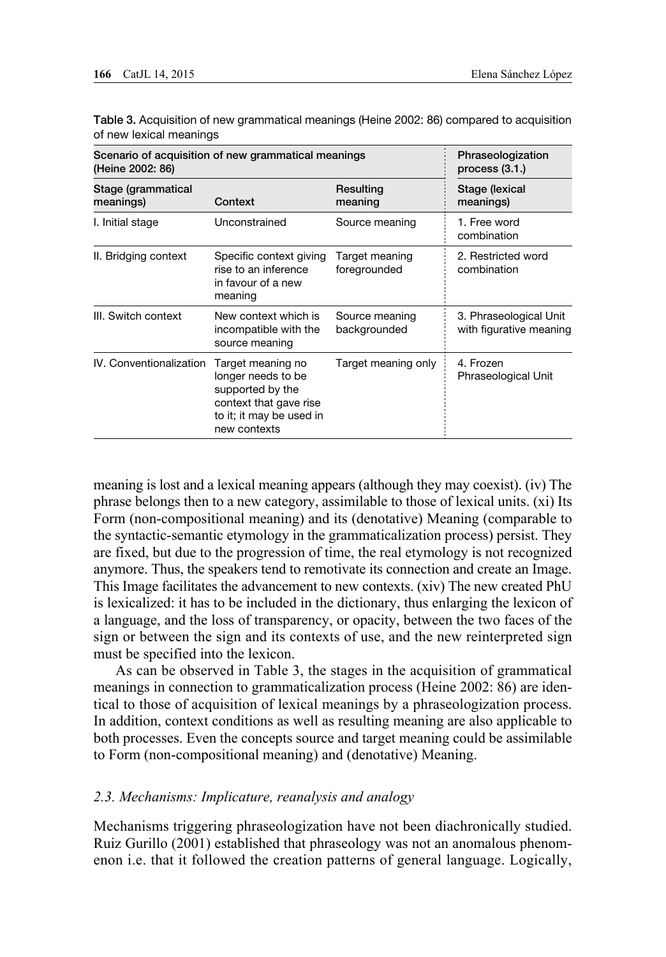| Scenario of acquisition of new grammatical meanings<br>(Heine 2002: 86) |                                                                                                                                   |                                | Phraseologization<br>process $(3.1.)$             |  |
|-------------------------------------------------------------------------|-----------------------------------------------------------------------------------------------------------------------------------|--------------------------------|---------------------------------------------------|--|
| Stage (grammatical<br>meanings)                                         | Resulting<br>Context<br>meaning                                                                                                   |                                | Stage (lexical<br>meanings)                       |  |
| I. Initial stage                                                        | Unconstrained                                                                                                                     | Source meaning                 | 1. Free word<br>combination                       |  |
| II. Bridging context                                                    | Specific context giving<br>rise to an inference<br>in favour of a new<br>meaning                                                  | Target meaning<br>foregrounded | 2. Restricted word<br>combination                 |  |
| III. Switch context                                                     | New context which is<br>incompatible with the<br>source meaning                                                                   | Source meaning<br>backgrounded | 3. Phraseological Unit<br>with figurative meaning |  |
| IV. Conventionalization                                                 | Target meaning no<br>longer needs to be<br>supported by the<br>context that gave rise<br>to it; it may be used in<br>new contexts | Target meaning only            | 4. Frozen<br><b>Phraseological Unit</b>           |  |

Table 3. Acquisition of new grammatical meanings (Heine 2002: 86) compared to acquisition of new lexical meanings

meaning is lost and a lexical meaning appears (although they may coexist). (iv) The phrase belongs then to a new category, assimilable to those of lexical units. (xi) Its Form (non-compositional meaning) and its (denotative) Meaning (comparable to the syntactic-semantic etymology in the grammaticalization process) persist. They are fixed, but due to the progression of time, the real etymology is not recognized anymore. Thus, the speakers tend to remotivate its connection and create an Image. This Image facilitates the advancement to new contexts. (xiv) The new created PhU is lexicalized: it has to be included in the dictionary, thus enlarging the lexicon of a language, and the loss of transparency, or opacity, between the two faces of the sign or between the sign and its contexts of use, and the new reinterpreted sign must be specified into the lexicon.

As can be observed in Table 3, the stages in the acquisition of grammatical meanings in connection to grammaticalization process (Heine 2002: 86) are identical to those of acquisition of lexical meanings by a phraseologization process. In addition, context conditions as well as resulting meaning are also applicable to both processes. Even the concepts source and target meaning could be assimilable to Form (non-compositional meaning) and (denotative) Meaning.

#### *2.3. Mechanisms: Implicature, reanalysis and analogy*

Mechanisms triggering phraseologization have not been diachronically studied. Ruiz Gurillo (2001) established that phraseology was not an anomalous phenomenon i.e. that it followed the creation patterns of general language. Logically,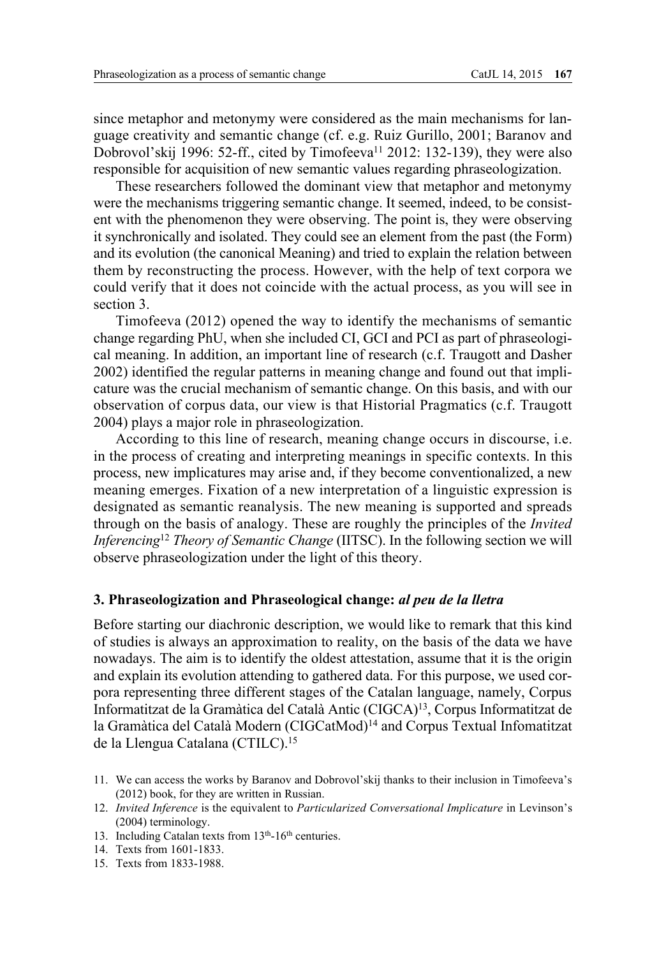since metaphor and metonymy were considered as the main mechanisms for language creativity and semantic change (cf. e.g. Ruiz Gurillo, 2001; Baranov and Dobrovol'skij 1996: 52-ff., cited by Timofeeva<sup>11</sup> 2012: 132-139), they were also responsible for acquisition of new semantic values regarding phraseologization.

These researchers followed the dominant view that metaphor and metonymy were the mechanisms triggering semantic change. It seemed, indeed, to be consistent with the phenomenon they were observing. The point is, they were observing it synchronically and isolated. They could see an element from the past (the Form) and its evolution (the canonical Meaning) and tried to explain the relation between them by reconstructing the process. However, with the help of text corpora we could verify that it does not coincide with the actual process, as you will see in section 3.

Timofeeva (2012) opened the way to identify the mechanisms of semantic change regarding PhU, when she included CI, GCI and PCI as part of phraseological meaning. In addition, an important line of research (c.f. Traugott and Dasher 2002) identified the regular patterns in meaning change and found out that implicature was the crucial mechanism of semantic change. On this basis, and with our observation of corpus data, our view is that Historial Pragmatics (c.f. Traugott 2004) plays a major role in phraseologization.

According to this line of research, meaning change occurs in discourse, i.e. in the process of creating and interpreting meanings in specific contexts. In this process, new implicatures may arise and, if they become conventionalized, a new meaning emerges. Fixation of a new interpretation of a linguistic expression is designated as semantic reanalysis. The new meaning is supported and spreads through on the basis of analogy. These are roughly the principles of the *Invited Inferencing*<sup>12</sup> *Theory of Semantic Change* (IITSC). In the following section we will observe phraseologization under the light of this theory.

#### **3. Phraseologization and Phraseological change:** *al peu de la lletra*

Before starting our diachronic description, we would like to remark that this kind of studies is always an approximation to reality, on the basis of the data we have nowadays. The aim is to identify the oldest attestation, assume that it is the origin and explain its evolution attending to gathered data. For this purpose, we used corpora representing three different stages of the Catalan language, namely, Corpus Informatitzat de la Gramàtica del Català Antic (CIGCA)13, Corpus Informatitzat de la Gramàtica del Català Modern (CIGCatMod)<sup>14</sup> and Corpus Textual Infomatitzat de la Llengua Catalana (CTILC).15

- 13. Including Catalan texts from 13<sup>th</sup>-16<sup>th</sup> centuries.
- 14. Texts from 1601-1833.
- 15. Texts from 1833-1988.

<sup>11.</sup> We can access the works by Baranov and Dobrovol'skij thanks to their inclusion in Timofeeva's (2012) book, for they are written in Russian.

<sup>12.</sup> *Invited Inference* is the equivalent to *Particularized Conversational Implicature* in Levinson's (2004) terminology.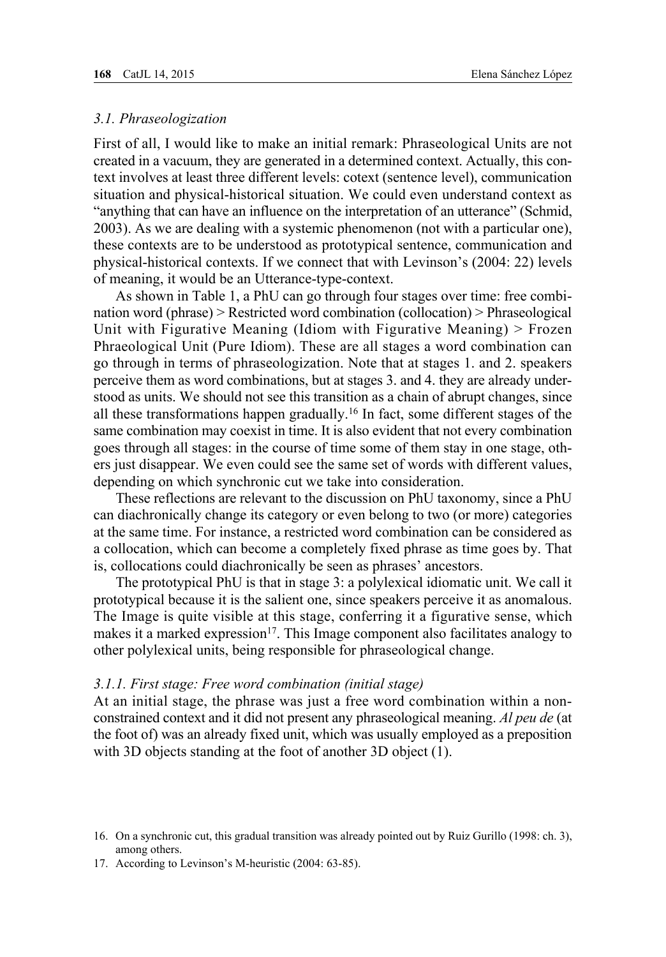## *3.1. Phraseologization*

First of all, I would like to make an initial remark: Phraseological Units are not created in a vacuum, they are generated in a determined context. Actually, this context involves at least three different levels: cotext (sentence level), communication situation and physical-historical situation. We could even understand context as "anything that can have an influence on the interpretation of an utterance" (Schmid, 2003). As we are dealing with a systemic phenomenon (not with a particular one), these contexts are to be understood as prototypical sentence, communication and physical-historical contexts. If we connect that with Levinson's (2004: 22) levels of meaning, it would be an Utterance-type-context.

As shown in Table 1, a PhU can go through four stages over time: free combination word (phrase) > Restricted word combination (collocation) > Phraseological Unit with Figurative Meaning (Idiom with Figurative Meaning) > Frozen Phraeological Unit (Pure Idiom). These are all stages a word combination can go through in terms of phraseologization. Note that at stages 1. and 2. speakers perceive them as word combinations, but at stages 3. and 4. they are already understood as units. We should not see this transition as a chain of abrupt changes, since all these transformations happen gradually.16 In fact, some different stages of the same combination may coexist in time. It is also evident that not every combination goes through all stages: in the course of time some of them stay in one stage, others just disappear. We even could see the same set of words with different values, depending on which synchronic cut we take into consideration.

These reflections are relevant to the discussion on PhU taxonomy, since a PhU can diachronically change its category or even belong to two (or more) categories at the same time. For instance, a restricted word combination can be considered as a collocation, which can become a completely fixed phrase as time goes by. That is, collocations could diachronically be seen as phrases' ancestors.

The prototypical PhU is that in stage 3: a polylexical idiomatic unit. We call it prototypical because it is the salient one, since speakers perceive it as anomalous. The Image is quite visible at this stage, conferring it a figurative sense, which makes it a marked expression<sup>17</sup>. This Image component also facilitates analogy to other polylexical units, being responsible for phraseological change.

#### *3.1.1. First stage: Free word combination (initial stage)*

At an initial stage, the phrase was just a free word combination within a nonconstrained context and it did not present any phraseological meaning. *Al peu de* (at the foot of) was an already fixed unit, which was usually employed as a preposition with 3D objects standing at the foot of another 3D object (1).

<sup>16.</sup> On a synchronic cut, this gradual transition was already pointed out by Ruiz Gurillo (1998: ch. 3), among others.

<sup>17.</sup> According to Levinson's M-heuristic (2004: 63-85).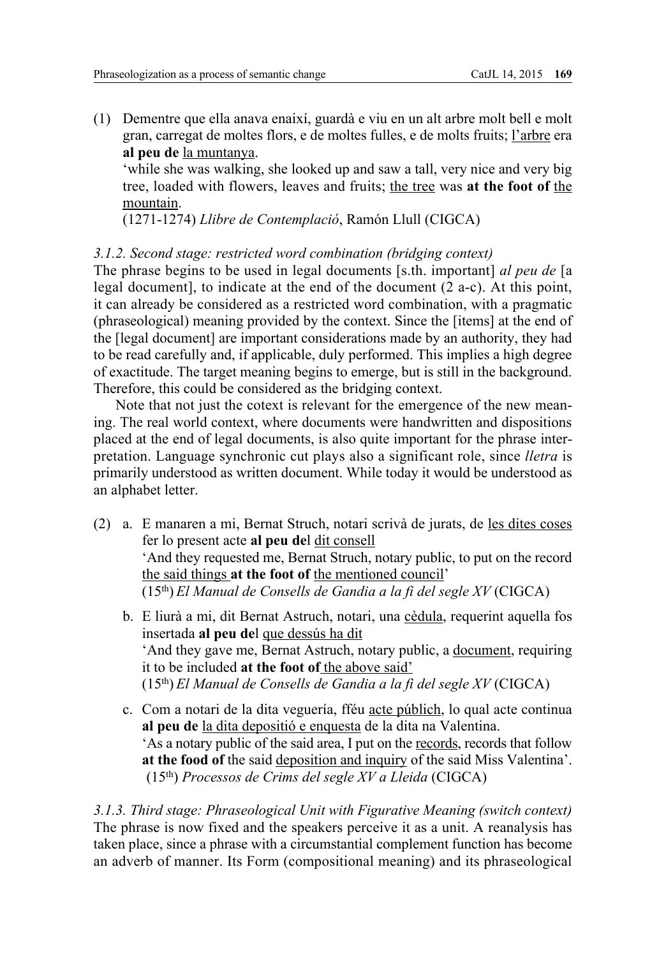(1) Dementre que ella anava enaixí, guardà e viu en un alt arbre molt bell e molt gran, carregat de moltes flors, e de moltes fulles, e de molts fruits; l'arbre era **al peu de** la muntanya.

'while she was walking, she looked up and saw a tall, very nice and very big tree, loaded with flowers, leaves and fruits; the tree was **at the foot of** the mountain.

(1271-1274) *Llibre de Contemplació*, Ramón Llull (CIGCA)

## *3.1.2. Second stage: restricted word combination (bridging context)*

The phrase begins to be used in legal documents [s.th. important] *al peu de* [a legal document], to indicate at the end of the document (2 a-c). At this point, it can already be considered as a restricted word combination, with a pragmatic (phraseological) meaning provided by the context. Since the [items] at the end of the [legal document] are important considerations made by an authority, they had to be read carefully and, if applicable, duly performed. This implies a high degree of exactitude. The target meaning begins to emerge, but is still in the background. Therefore, this could be considered as the bridging context.

Note that not just the cotext is relevant for the emergence of the new meaning. The real world context, where documents were handwritten and dispositions placed at the end of legal documents, is also quite important for the phrase interpretation. Language synchronic cut plays also a significant role, since *lletra* is primarily understood as written document. While today it would be understood as an alphabet letter.

- (2) a. E manaren a mi, Bernat Struch, notari scrivà de jurats, de les dites coses fer lo present acte **al peu de**l dit consell 'And they requested me, Bernat Struch, notary public, to put on the record the said things **at the foot of** the mentioned council' (15th) *El Manual de Consells de Gandia a la fi del segle XV* (CIGCA)
	- b. E liurà a mi, dit Bernat Astruch, notari, una cèdula, requerint aquella fos insertada **al peu de**l que dessús ha dit 'And they gave me, Bernat Astruch, notary public, a document, requiring it to be included **at the foot of** the above said' (15th) *El Manual de Consells de Gandia a la fi del segle XV* (CIGCA)
	- c. Com a notari de la dita veguería, fféu acte públich, lo qual acte continua **al peu de** la dita depositió e enquesta de la dita na Valentina. 'As a notary public of the said area, I put on the records, records that follow **at the food of** the said deposition and inquiry of the said Miss Valentina'. (15th) *Processos de Crims del segle XV a Lleida* (CIGCA)

*3.1.3. Third stage: Phraseological Unit with Figurative Meaning (switch context)* The phrase is now fixed and the speakers perceive it as a unit. A reanalysis has taken place, since a phrase with a circumstantial complement function has become an adverb of manner. Its Form (compositional meaning) and its phraseological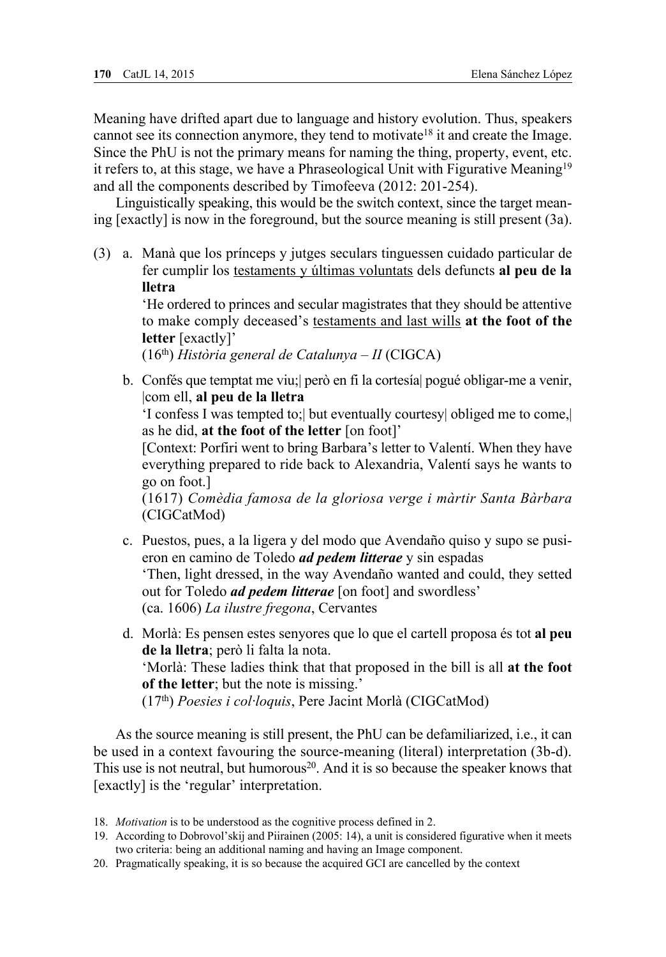Meaning have drifted apart due to language and history evolution. Thus, speakers cannot see its connection anymore, they tend to motivate<sup>18</sup> it and create the Image. Since the PhU is not the primary means for naming the thing, property, event, etc. it refers to, at this stage, we have a Phraseological Unit with Figurative Meaning<sup>19</sup> and all the components described by Timofeeva (2012: 201-254).

Linguistically speaking, this would be the switch context, since the target meaning [exactly] is now in the foreground, but the source meaning is still present (3a).

(3) a. Manà que los prínceps y jutges seculars tinguessen cuidado particular de fer cumplir los testaments y últimas voluntats dels defuncts **al peu de la lletra**

> 'He ordered to princes and secular magistrates that they should be attentive to make comply deceased's testaments and last wills **at the foot of the letter** [exactly]'

(16th) *Història general de Catalunya – II* (CIGCA)

b. Confés que temptat me viu;| però en fi la cortesía| pogué obligar-me a venir, |com ell, **al peu de la lletra**

 'I confess I was tempted to;| but eventually courtesy| obliged me to come,| as he did, **at the foot of the letter** [on foot]'

 [Context: Porfiri went to bring Barbara's letter to Valentí. When they have everything prepared to ride back to Alexandria, Valentí says he wants to go on foot.]

 (1617) *Comèdia famosa de la gloriosa verge i màrtir Santa Bàrbara*  (CIGCatMod)

- c. Puestos, pues, a la ligera y del modo que Avendaño quiso y supo se pusieron en camino de Toledo *ad pedem litterae* y sin espadas 'Then, light dressed, in the way Avendaño wanted and could, they setted out for Toledo *ad pedem litterae* [on foot] and swordless' (ca. 1606) *La ilustre fregona*, Cervantes
- d. Morlà: Es pensen estes senyores que lo que el cartell proposa és tot **al peu de la lletra**; però li falta la nota. 'Morlà: These ladies think that that proposed in the bill is all **at the foot of the letter**; but the note is missing.' (17th) *Poesies i col·loquis*, Pere Jacint Morlà (CIGCatMod)

As the source meaning is still present, the PhU can be defamiliarized, i.e., it can be used in a context favouring the source-meaning (literal) interpretation (3b-d). This use is not neutral, but humorous<sup>20</sup>. And it is so because the speaker knows that [exactly] is the 'regular' interpretation.

- 18. *Motivation* is to be understood as the cognitive process defined in 2.
- 19. According to Dobrovol'skij and Piirainen (2005: 14), a unit is considered figurative when it meets two criteria: being an additional naming and having an Image component.
- 20. Pragmatically speaking, it is so because the acquired GCI are cancelled by the context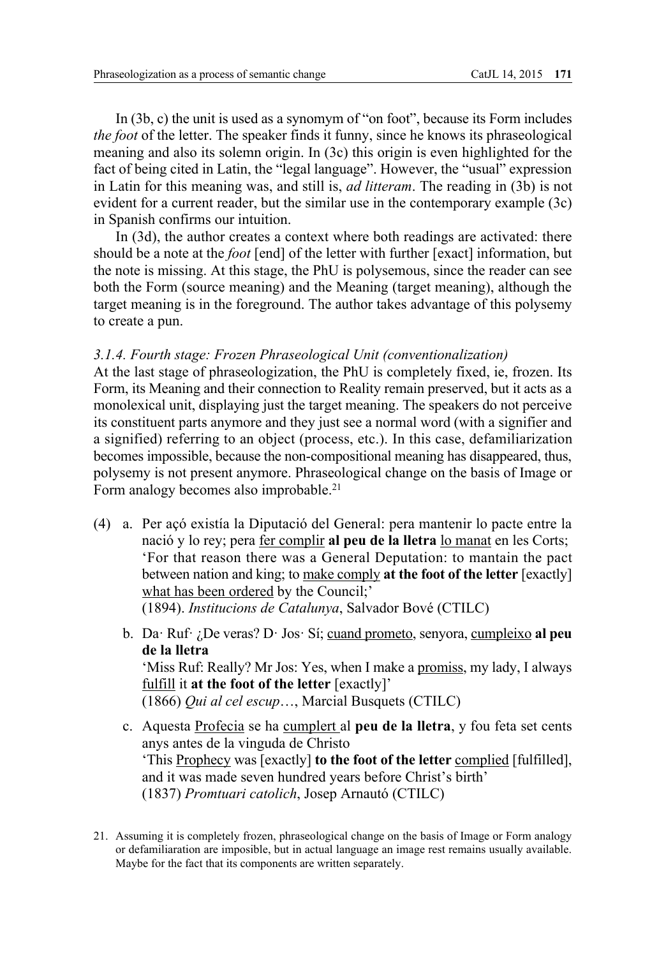In (3b, c) the unit is used as a synomym of "on foot", because its Form includes *the foot* of the letter. The speaker finds it funny, since he knows its phraseological meaning and also its solemn origin. In (3c) this origin is even highlighted for the fact of being cited in Latin, the "legal language". However, the "usual" expression in Latin for this meaning was, and still is, *ad litteram*. The reading in (3b) is not evident for a current reader, but the similar use in the contemporary example (3c) in Spanish confirms our intuition.

In (3d), the author creates a context where both readings are activated: there should be a note at the *foot* [end] of the letter with further [exact] information, but the note is missing. At this stage, the PhU is polysemous, since the reader can see both the Form (source meaning) and the Meaning (target meaning), although the target meaning is in the foreground. The author takes advantage of this polysemy to create a pun.

#### *3.1.4. Fourth stage: Frozen Phraseological Unit (conventionalization)*

At the last stage of phraseologization, the PhU is completely fixed, ie, frozen. Its Form, its Meaning and their connection to Reality remain preserved, but it acts as a monolexical unit, displaying just the target meaning. The speakers do not perceive its constituent parts anymore and they just see a normal word (with a signifier and a signified) referring to an object (process, etc.). In this case, defamiliarization becomes impossible, because the non-compositional meaning has disappeared, thus, polysemy is not present anymore. Phraseological change on the basis of Image or Form analogy becomes also improbable.<sup>21</sup>

- (4) a. Per açó existía la Diputació del General: pera mantenir lo pacte entre la nació y lo rey; pera fer complir **al peu de la lletra** lo manat en les Corts; 'For that reason there was a General Deputation: to mantain the pact between nation and king; to make comply **at the foot of the letter** [exactly] what has been ordered by the Council;' (1894). *Institucions de Catalunya*, Salvador Bové (CTILC)
	- b. Da· Ruf· ¿De veras? D· Jos· Sí; cuand prometo, senyora, cumpleixo **al peu de la lletra** 'Miss Ruf: Really? Mr Jos: Yes, when I make a promiss, my lady, I always fulfill it **at the foot of the letter** [exactly]' (1866) *Qui al cel escup*…, Marcial Busquets (CTILC)
	- c. Aquesta Profecia se ha cumplert al **peu de la lletra**, y fou feta set cents anys antes de la vinguda de Christo 'This Prophecy was [exactly] **to the foot of the letter** complied [fulfilled], and it was made seven hundred years before Christ's birth' (1837) *Promtuari catolich*, Josep Arnautó (CTILC)
- 21. Assuming it is completely frozen, phraseological change on the basis of Image or Form analogy or defamiliaration are imposible, but in actual language an image rest remains usually available. Maybe for the fact that its components are written separately.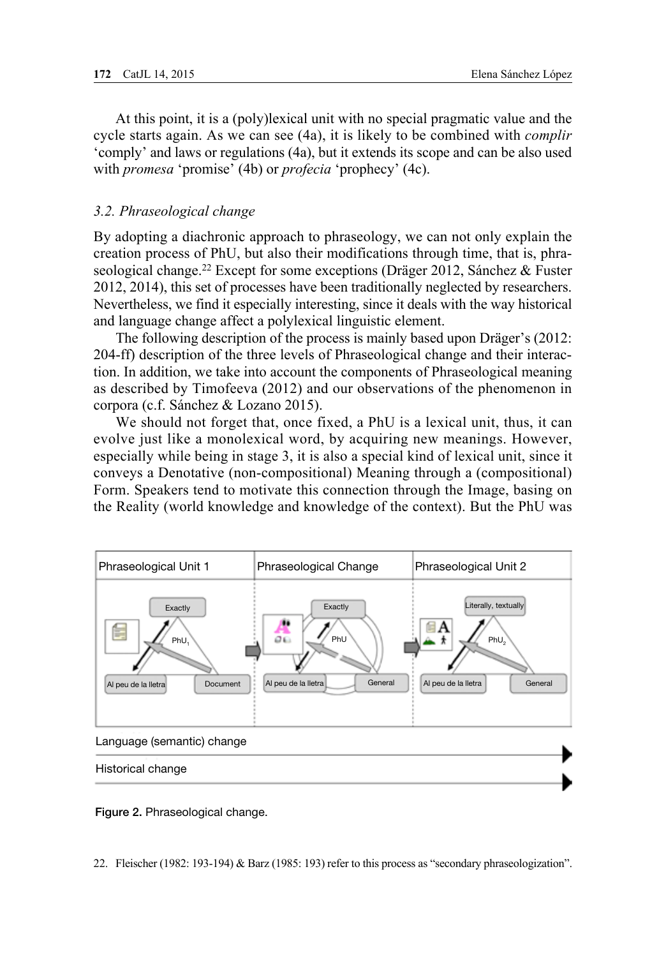At this point, it is a (poly)lexical unit with no special pragmatic value and the cycle starts again. As we can see (4a), it is likely to be combined with *complir* 'comply' and laws or regulations (4a), but it extends its scope and can be also used with *promesa* 'promise' (4b) or *profecia* 'prophecy' (4c).

## *3.2. Phraseological change*

By adopting a diachronic approach to phraseology, we can not only explain the creation process of PhU, but also their modifications through time, that is, phraseological change.<sup>22</sup> Except for some exceptions (Dräger 2012, Sánchez & Fuster 2012, 2014), this set of processes have been traditionally neglected by researchers. Nevertheless, we find it especially interesting, since it deals with the way historical and language change affect a polylexical linguistic element.

The following description of the process is mainly based upon Dräger's (2012: 204-ff) description of the three levels of Phraseological change and their interaction. In addition, we take into account the components of Phraseological meaning as described by Timofeeva (2012) and our observations of the phenomenon in corpora (c.f. Sánchez & Lozano 2015).

We should not forget that, once fixed, a PhU is a lexical unit, thus, it can evolve just like a monolexical word, by acquiring new meanings. However, especially while being in stage 3, it is also a special kind of lexical unit, since it conveys a Denotative (non-compositional) Meaning through a (compositional) Form. Speakers tend to motivate this connection through the Image, basing on the Reality (world knowledge and knowledge of the context). But the PhU was



Figure 2. Phraseological change.

22. Fleischer (1982: 193-194) & Barz (1985: 193) refer to this process as "secondary phraseologization".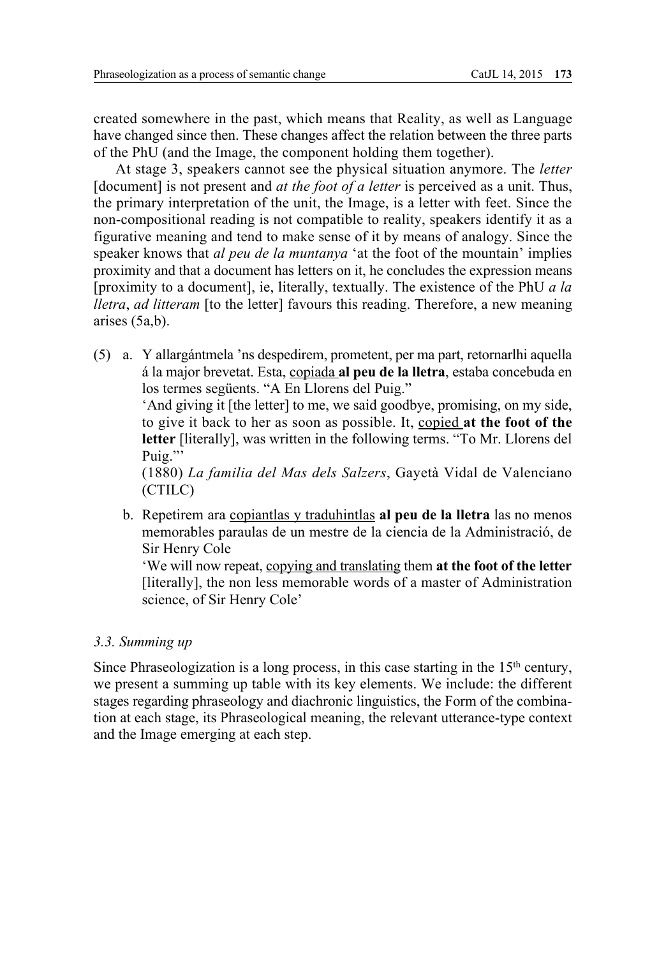created somewhere in the past, which means that Reality, as well as Language have changed since then. These changes affect the relation between the three parts of the PhU (and the Image, the component holding them together).

At stage 3, speakers cannot see the physical situation anymore. The *letter* [document] is not present and *at the foot of a letter* is perceived as a unit. Thus, the primary interpretation of the unit, the Image, is a letter with feet. Since the non-compositional reading is not compatible to reality, speakers identify it as a figurative meaning and tend to make sense of it by means of analogy. Since the speaker knows that *al peu de la muntanya* 'at the foot of the mountain' implies proximity and that a document has letters on it, he concludes the expression means [proximity to a document], ie, literally, textually. The existence of the PhU *a la lletra*, *ad litteram* [to the letter] favours this reading. Therefore, a new meaning arises (5a,b).

(5) a. Y allargántmela 'ns despedirem, prometent, per ma part, retornarlhi aquella á la major brevetat. Esta, copiada **al peu de la lletra**, estaba concebuda en los termes següents. "A En Llorens del Puig."

 'And giving it [the letter] to me, we said goodbye, promising, on my side, to give it back to her as soon as possible. It, copied **at the foot of the letter** [literally], was written in the following terms. "To Mr. Llorens del Puig."'

 (1880) *La familia del Mas dels Salzers*, Gayetà Vidal de Valenciano (CTILC)

b. Repetirem ara copiantlas y traduhintlas **al peu de la lletra** las no menos memorables paraulas de un mestre de la ciencia de la Administració, de Sir Henry Cole

 'We will now repeat, copying and translating them **at the foot of the letter** [literally], the non less memorable words of a master of Administration science, of Sir Henry Cole'

## *3.3. Summing up*

Since Phraseologization is a long process, in this case starting in the  $15<sup>th</sup>$  century, we present a summing up table with its key elements. We include: the different stages regarding phraseology and diachronic linguistics, the Form of the combination at each stage, its Phraseological meaning, the relevant utterance-type context and the Image emerging at each step.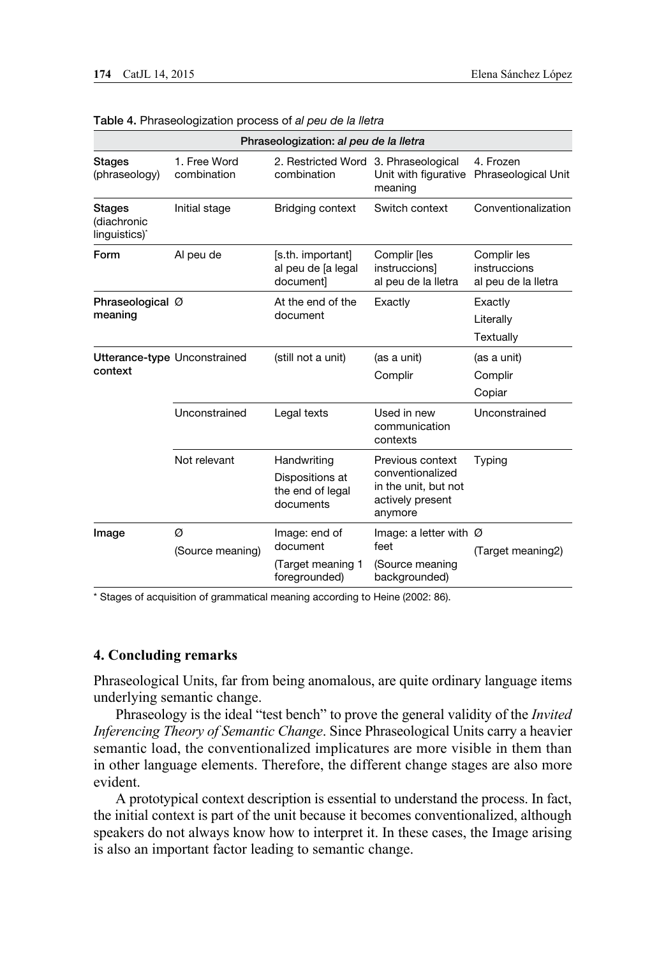| Phraseologization: al peu de la lletra             |                             |                                                                 |                                                                                             |                                                       |
|----------------------------------------------------|-----------------------------|-----------------------------------------------------------------|---------------------------------------------------------------------------------------------|-------------------------------------------------------|
| <b>Stages</b><br>(phraseology)                     | 1. Free Word<br>combination | 2. Restricted Word 3. Phraseological<br>combination             | meaning                                                                                     | 4. Frozen<br>Unit with figurative Phraseological Unit |
| Stages<br>(diachronic<br>linguistics) <sup>*</sup> | Initial stage               | Bridging context                                                | Switch context                                                                              | Conventionalization                                   |
| Form                                               | Al peu de                   | [s.th. important]<br>al peu de la legal<br>document]            | Complir [les<br>instruccions]<br>al peu de la lletra                                        | Complir les<br>instruccions<br>al peu de la lletra    |
| Phraseological Ø<br>meaning                        |                             | At the end of the<br>document                                   | Exactly                                                                                     | Exactly<br>Literally<br>Textually                     |
| Utterance-type Unconstrained<br>context            |                             | (still not a unit)                                              | (as a unit)<br>Complir                                                                      | (as a unit)<br>Complir<br>Copiar                      |
|                                                    | Unconstrained               | Legal texts                                                     | Used in new<br>communication<br>contexts                                                    | Unconstrained                                         |
|                                                    | Not relevant                | Handwriting<br>Dispositions at<br>the end of legal<br>documents | Previous context<br>conventionalized<br>in the unit, but not<br>actively present<br>anymore | Typing                                                |
| Image                                              | Ø<br>(Source meaning)       | Image: end of<br>document<br>(Target meaning 1<br>foregrounded) | Image: a letter with $\varnothing$<br>feet<br>(Source meaning<br>backgrounded)              | (Target meaning2)                                     |

#### Table 4. Phraseologization process of *al peu de la lletra*

\* Stages of acquisition of grammatical meaning according to Heine (2002: 86).

## **4. Concluding remarks**

Phraseological Units, far from being anomalous, are quite ordinary language items underlying semantic change.

Phraseology is the ideal "test bench" to prove the general validity of the *Invited Inferencing Theory of Semantic Change*. Since Phraseological Units carry a heavier semantic load, the conventionalized implicatures are more visible in them than in other language elements. Therefore, the different change stages are also more evident.

A prototypical context description is essential to understand the process. In fact, the initial context is part of the unit because it becomes conventionalized, although speakers do not always know how to interpret it. In these cases, the Image arising is also an important factor leading to semantic change.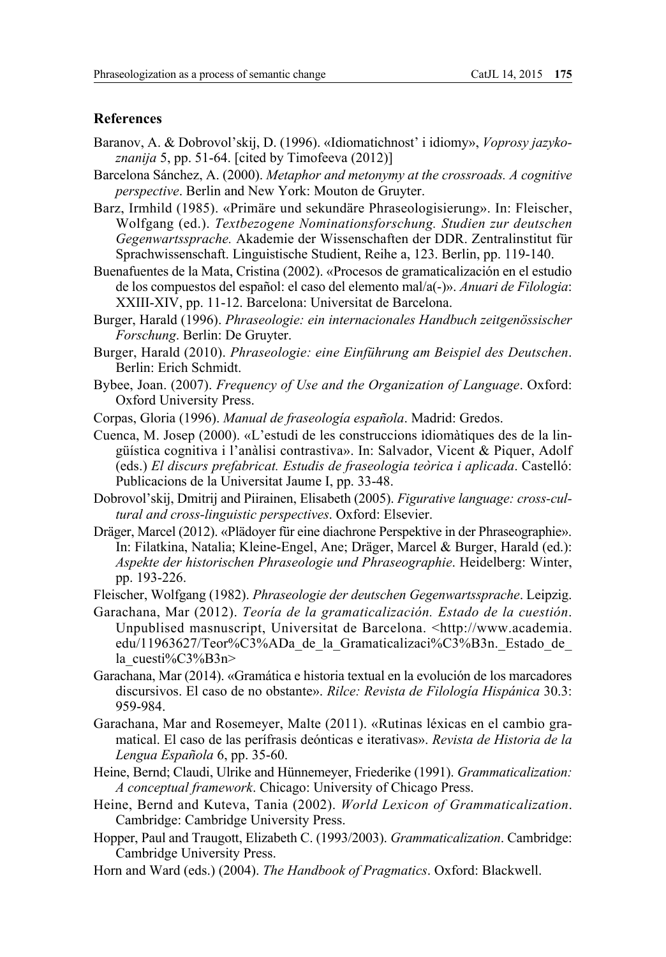## **References**

- Baranov, A. & Dobrovol'skij, D. (1996). «Idiomatichnost' i idiomy», *Voprosy jazykoznanija* 5, pp. 51-64. [cited by Timofeeva (2012)]
- Barcelona Sánchez, A. (2000). *Metaphor and metonymy at the crossroads. A cognitive perspective*. Berlin and New York: Mouton de Gruyter.
- Barz, Irmhild (1985). «Primäre und sekundäre Phraseologisierung». In: Fleischer, Wolfgang (ed.). *Textbezogene Nominationsforschung. Studien zur deutschen Gegenwartssprache.* Akademie der Wissenschaften der DDR. Zentralinstitut für Sprachwissenschaft. Linguistische Studient, Reihe a, 123. Berlin, pp. 119-140.
- Buenafuentes de la Mata, Cristina (2002). «Procesos de gramaticalización en el estudio de los compuestos del español: el caso del elemento mal/a(-)». *Anuari de Filologia*: XXIII-XIV, pp. 11-12. Barcelona: Universitat de Barcelona.
- Burger, Harald (1996). *Phraseologie: ein internacionales Handbuch zeitgenössischer Forschung*. Berlin: De Gruyter.
- Burger, Harald (2010). *Phraseologie: eine Einführung am Beispiel des Deutschen*. Berlin: Erich Schmidt.
- Bybee, Joan. (2007). *Frequency of Use and the Organization of Language*. Oxford: Oxford University Press.
- Corpas, Gloria (1996). *Manual de fraseología española*. Madrid: Gredos.
- Cuenca, M. Josep (2000). «L'estudi de les construccions idiomàtiques des de la lingüística cognitiva i l'anàlisi contrastiva». In: Salvador, Vicent & Piquer, Adolf (eds.) *El discurs prefabricat. Estudis de fraseologia teòrica i aplicada*. Castelló: Publicacions de la Universitat Jaume I, pp. 33-48.
- Dobrovol'skij, Dmitrij and Piirainen, Elisabeth (2005). *Figurative language: cross-cultural and cross-linguistic perspectives*. Oxford: Elsevier.
- Dräger, Marcel (2012). «Plädoyer für eine diachrone Perspektive in der Phraseographie». In: Filatkina, Natalia; Kleine-Engel, Ane; Dräger, Marcel & Burger, Harald (ed.): *Aspekte der historischen Phraseologie und Phraseographie*. Heidelberg: Winter, pp. 193-226.
- Fleischer, Wolfgang (1982). *Phraseologie der deutschen Gegenwartssprache*. Leipzig.
- Garachana, Mar (2012). *Teoría de la gramaticalización. Estado de la cuestión*. Unpublised masnuscript, Universitat de Barcelona. <http://www.academia. edu/11963627/Teor%C3%ADa\_de\_la\_Gramaticalizaci%C3%B3n.\_Estado\_de\_ la\_cuesti%C3%B3n>
- Garachana, Mar (2014). «Gramática e historia textual en la evolución de los marcadores discursivos. El caso de no obstante». *Rilce: Revista de Filología Hispánica* 30.3: 959-984.
- Garachana, Mar and Rosemeyer, Malte (2011). «Rutinas léxicas en el cambio gramatical. El caso de las perífrasis deónticas e iterativas». *Revista de Historia de la Lengua Española* 6, pp. 35-60.
- Heine, Bernd; Claudi, Ulrike and Hünnemeyer, Friederike (1991). *Grammaticalization: A conceptual framework*. Chicago: University of Chicago Press.
- Heine, Bernd and Kuteva, Tania (2002). *World Lexicon of Grammaticalization*. Cambridge: Cambridge University Press.
- Hopper, Paul and Traugott, Elizabeth C. (1993/2003). *Grammaticalization*. Cambridge: Cambridge University Press.
- Horn and Ward (eds.) (2004). *The Handbook of Pragmatics*. Oxford: Blackwell.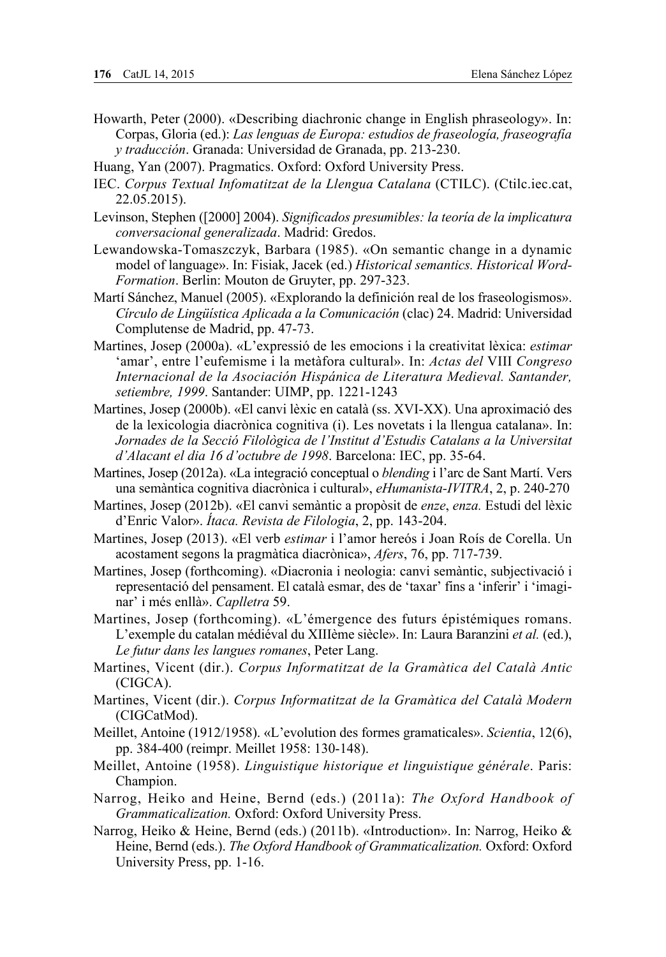- Howarth, Peter (2000). «Describing diachronic change in English phraseology». In: Corpas, Gloria (ed.): *Las lenguas de Europa: estudios de fraseología, fraseografía y traducción*. Granada: Universidad de Granada, pp. 213-230.
- Huang, Yan (2007). Pragmatics. Oxford: Oxford University Press.
- IEC. *Corpus Textual Infomatitzat de la Llengua Catalana* (CTILC). (Ctilc.iec.cat, 22.05.2015).
- Levinson, Stephen ([2000] 2004). *Significados presumibles: la teoría de la implicatura conversacional generalizada*. Madrid: Gredos.
- Lewandowska-Tomaszczyk, Barbara (1985). «On semantic change in a dynamic model of language». In: Fisiak, Jacek (ed.) *Historical semantics. Historical Word-Formation*. Berlin: Mouton de Gruyter, pp. 297-323.
- Martí Sánchez, Manuel (2005). «Explorando la definición real de los fraseologismos». *Círculo de Lingüística Aplicada a la Comunicación* (clac) 24. Madrid: Universidad Complutense de Madrid, pp. 47-73.
- Martines, Josep (2000a). «L'expressió de les emocions i la creativitat lèxica: *estimar* 'amar', entre l'eufemisme i la metàfora cultural». In: *Actas del* VIII *Congreso Internacional de la Asociación Hispánica de Literatura Medieval. Santander, setiembre, 1999*. Santander: UIMP, pp. 1221-1243
- Martines, Josep (2000b). «El canvi lèxic en català (ss. XVI-XX). Una aproximació des de la lexicologia diacrònica cognitiva (i). Les novetats i la llengua catalana». In: Jornades de la Secció Filològica de l'Institut d'Estudis Catalans a la Universitat *d'Alacant el dia 16 d'octubre de 1998*. Barcelona: IEC, pp. 35-64.
- Martines, Josep (2012a). «La integració conceptual o *blending* i l'arc de Sant Martí. Vers una semàntica cognitiva diacrònica i cultural», *eHumanista-IVITRA*, 2, p. 240-270
- Martines, Josep (2012b). «El canvi semàntic a propòsit de *enze*, *enza.* Estudi del lèxic d'Enric Valor». *Ítaca. Revista de Filologia*, 2, pp. 143-204.
- Martines, Josep (2013). «El verb *estimar* i l'amor hereós i Joan Roís de Corella. Un acostament segons la pragmàtica diacrònica», *Afers*, 76, pp. 717-739.
- Martines, Josep (forthcoming). «Diacronia i neologia: canvi semàntic, subjectivació i representació del pensament. El català esmar, des de 'taxar' fins a 'inferir' i 'imaginar' i més enllà». *Caplletra* 59.
- Martines, Josep (forthcoming). «L'émergence des futurs épistémiques romans. L'exemple du catalan médiéval du XIIIème siècle». In: Laura Baranzini *et al.* (ed.), *Le futur dans les langues romanes*, Peter Lang.
- Martines, Vicent (dir.). *Corpus Informatitzat de la Gramàtica del Català Antic* (CIGCA).
- Martines, Vicent (dir.). *Corpus Informatitzat de la Gramàtica del Català Modern* (CIGCatMod).
- Meillet, Antoine (1912/1958). «L'evolution des formes gramaticales». *Scientia*, 12(6), pp. 384-400 (reimpr. Meillet 1958: 130-148).
- Meillet, Antoine (1958). *Linguistique historique et linguistique générale*. Paris: Champion.
- Narrog, Heiko and Heine, Bernd (eds.) (2011a): *The Oxford Handbook of Grammaticalization.* Oxford: Oxford University Press.
- Narrog, Heiko & Heine, Bernd (eds.) (2011b). «Introduction». In: Narrog, Heiko & Heine, Bernd (eds.). *The Oxford Handbook of Grammaticalization.* Oxford: Oxford University Press, pp. 1-16.